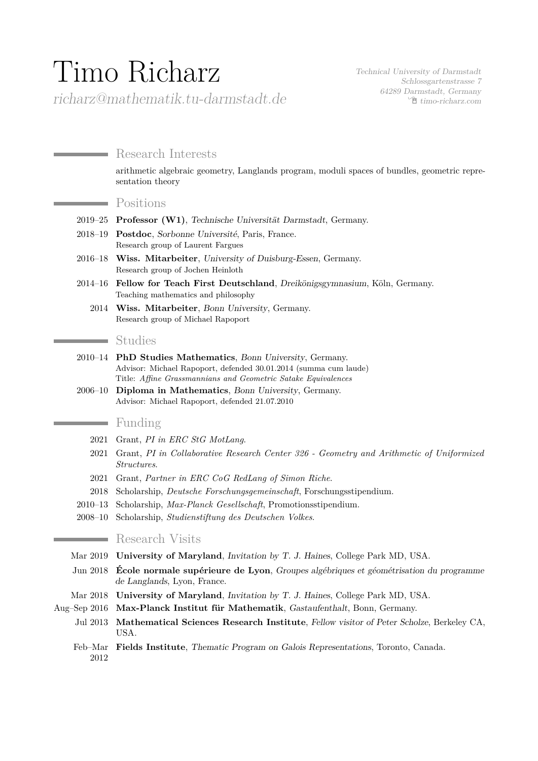# Timo Richarz

Technical University of Darmstadt Schlossgartenstrasse 7 64289 Darmstadt, Germany Í [timo-richarz.com](http://timo-richarz.com)

# richarz@mathematik.tu-darmstadt.de

# Research Interests

arithmetic algebraic geometry, Langlands program, moduli spaces of bundles, geometric representation theory

#### Positions

- 2019–25 **Professor (W1)**, Technische Universität Darmstadt, Germany.
- 2018–19 **Postdoc**, Sorbonne Université, Paris, France. Research group of Laurent Fargues
- 2016–18 **Wiss. Mitarbeiter**, University of Duisburg-Essen, Germany. Research group of Jochen Heinloth
- 2014–16 **Fellow for Teach First Deutschland**, Dreikönigsgymnasium, Köln, Germany. Teaching mathematics and philosophy
	- 2014 **Wiss. Mitarbeiter**, Bonn University, Germany. Research group of Michael Rapoport

# Studies

- 2010–14 **PhD Studies Mathematics**, Bonn University, Germany. Advisor: Michael Rapoport, defended 30.01.2014 (summa cum laude) Title: *Affine Grassmannians and Geometric Satake Equivalences*
- 2006–10 **Diploma in Mathematics**, Bonn University, Germany. Advisor: Michael Rapoport, defended 21.07.2010

# Funding

 $\sim$ 

- 2021 Grant, *PI in ERC StG MotLang*.
- 2021 Grant, *PI in Collaborative Research Center 326 Geometry and Arithmetic of Uniformized Structures*.
- 2021 Grant, *Partner in ERC CoG RedLang of Simon Riche*.
- 2018 Scholarship, *Deutsche Forschungsgemeinschaft*, Forschungsstipendium.
- 2010–13 Scholarship, *Max-Planck Gesellschaft*, Promotionsstipendium.
- 2008–10 Scholarship, *Studienstiftung des Deutschen Volkes*.

## **Research Visits**

- Mar 2019 **University of Maryland**, Invitation by T. J. Haines, College Park MD, USA.
- Jun 2018 **École normale supérieure de Lyon**, Groupes algébriques et géométrisation du programme de Langlands, Lyon, France.
- Mar 2018 **University of Maryland**, Invitation by T. J. Haines, College Park MD, USA.
- Aug–Sep 2016 **Max-Planck Institut für Mathematik**, Gastaufenthalt, Bonn, Germany.
	- Jul 2013 **Mathematical Sciences Research Institute**, Fellow visitor of Peter Scholze, Berkeley CA, USA.
	- Feb–Mar **Fields Institute**, Thematic Program on Galois Representations, Toronto, Canada.2012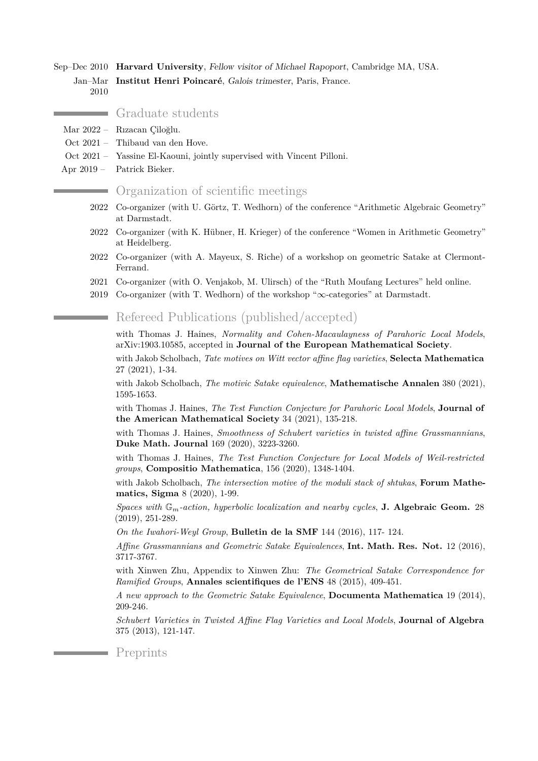Sep–Dec 2010 **Harvard University**, Fellow visitor of Michael Rapoport, Cambridge MA, USA. Jan–Mar 2010 **Institut Henri Poincaré**, Galois trimester, Paris, France.

#### Graduate students

- Mar 2022 Rızacan Çiloğlu.
- Oct 2021 Thibaud van den Hove.
- Oct 2021 Yassine El-Kaouni, jointly supervised with Vincent Pilloni.
- Apr 2019 Patrick Bieker.

#### Organization of scientific meetings

- 2022 Co-organizer (with U. Görtz, T. Wedhorn) of the conference "Arithmetic Algebraic Geometry" at Darmstadt.
- 2022 Co-organizer (with K. Hübner, H. Krieger) of the conference "Women in Arithmetic Geometry" at Heidelberg.
- 2022 Co-organizer (with A. Mayeux, S. Riche) of a workshop on geometric Satake at Clermont-Ferrand.
- 2021 Co-organizer (with O. Venjakob, M. Ulirsch) of the ["Ruth Moufang Lectures"](https://crc326gaus.de/ruth-moufang-lecture/) held online.
- 2019 Co-organizer (with T. Wedhorn) of the workshop "∞[-categories"](https://www.mathematik.tu-darmstadt.de/algebra/forschung_algebra/loewe_usag/events/infinite_categories.en.jsp) at Darmstadt.

Refereed Publications (published/accepted) a an

with Thomas J. Haines, *Normality and Cohen-Macaulayness of Parahoric Local Models*, arXiv:1903.10585, accepted in **Journal of the European Mathematical Society**.

with Jakob Scholbach, *Tate motives on Witt vector affine flag varieties*, **Selecta Mathematica** 27 (2021), 1-34.

with Jakob Scholbach, *The motivic Satake equivalence*, **Mathematische Annalen** 380 (2021), 1595-1653.

with Thomas J. Haines, *The Test Function Conjecture for Parahoric Local Models*, **Journal of the American Mathematical Society** 34 (2021), 135-218.

with Thomas J. Haines, *Smoothness of Schubert varieties in twisted affine Grassmannians*, **Duke Math. Journal** 169 (2020), 3223-3260.

with Thomas J. Haines, *The Test Function Conjecture for Local Models of Weil-restricted groups*, **Compositio Mathematica**, 156 (2020), 1348-1404.

with Jakob Scholbach, *The intersection motive of the moduli stack of shtukas*, **Forum Mathematics, Sigma** 8 (2020), 1-99.

*Spaces with* G*m-action, hyperbolic localization and nearby cycles*, **J. Algebraic Geom.** 28 (2019), 251-289.

*On the Iwahori-Weyl Group*, **Bulletin de la SMF** 144 (2016), 117- 124.

*Affine Grassmannians and Geometric Satake Equivalences*, **Int. Math. Res. Not.** 12 (2016), 3717-3767.

with Xinwen Zhu, Appendix to Xinwen Zhu: *The Geometrical Satake Correspondence for Ramified Groups*, **Annales scientifiques de l'ENS** 48 (2015), 409-451.

*A new approach to the Geometric Satake Equivalence*, **Documenta Mathematica** 19 (2014), 209-246.

*Schubert Varieties in Twisted Affine Flag Varieties and Local Models*, **Journal of Algebra** 375 (2013), 121-147.

Preprints

the control of the control of the control of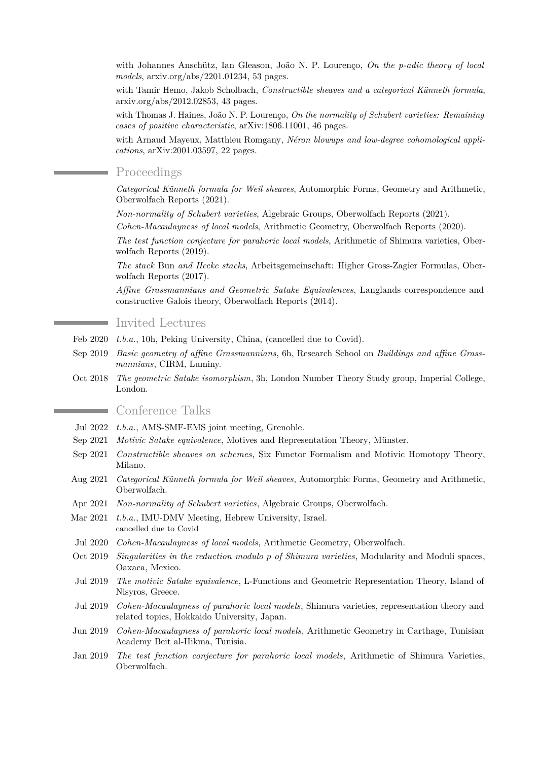with Johannes Anschütz, Ian Gleason, João N. P. Lourenço, *On the p-adic theory of local models*, arxiv.org/abs/2201.01234, 53 pages.

with Tamir Hemo, Jakob Scholbach, *Constructible sheaves and a categorical Künneth formula*, arxiv.org/abs/2012.02853, 43 pages.

with Thomas J. Haines, João N. P. Lourenço, *On the normality of Schubert varieties: Remaining cases of positive characteristic*, arXiv:1806.11001, 46 pages.

with Arnaud Mayeux, Matthieu Romgany, *Néron blowups and low-degree cohomological applications*, arXiv:2001.03597, 22 pages.

#### Proceedings

*Categorical Künneth formula for Weil sheaves*, Automorphic Forms, Geometry and Arithmetic, Oberwolfach Reports (2021).

*Non-normality of Schubert varieties*, Algebraic Groups, Oberwolfach Reports (2021).

*Cohen-Macaulayness of local models*, Arithmetic Geometry, Oberwolfach Reports (2020).

*The test function conjecture for parahoric local models*, Arithmetic of Shimura varieties, Oberwolfach Reports (2019).

*The stack* Bun *and Hecke stacks*, Arbeitsgemeinschaft: Higher Gross-Zagier Formulas, Oberwolfach Reports (2017).

*Affine Grassmannians and Geometric Satake Equivalences*, Langlands correspondence and constructive Galois theory, Oberwolfach Reports (2014).

## Invited Lectures

- Feb 2020 *t.b.a.*, 10h, Peking University, China, (cancelled due to Covid).
- Sep 2019 *Basic geometry of affine Grassmannians*, 6h, Research School on *Buildings and affine Grassmannians*, CIRM, Luminy.
- Oct 2018 *The geometric Satake isomorphism*, 3h, London Number Theory Study group, Imperial College, London.

# Conference Talks

- Jul 2022 *t.b.a.*, AMS-SMF-EMS joint meeting, Grenoble.
- Sep 2021 *Motivic Satake equivalence*, Motives and Representation Theory, Münster.
- Sep 2021 *Constructible sheaves on schemes*, Six Functor Formalism and Motivic Homotopy Theory, Milano.
- Aug 2021 *Categorical Künneth formula for Weil sheaves*, Automorphic Forms, Geometry and Arithmetic, Oberwolfach.
- Apr 2021 *Non-normality of Schubert varieties*, Algebraic Groups, Oberwolfach.
- Mar 2021 *t.b.a.*, IMU-DMV Meeting, Hebrew University, Israel. cancelled due to Covid
- Jul 2020 *Cohen-Macaulayness of local models*, Arithmetic Geometry, Oberwolfach.
- Oct 2019 *Singularities in the reduction modulo p of Shimura varieties*, Modularity and Moduli spaces, Oaxaca, Mexico.
- Jul 2019 *The motivic Satake equivalence*, L-Functions and Geometric Representation Theory, Island of Nisyros, Greece.
- Jul 2019 *Cohen-Macaulayness of parahoric local models*, Shimura varieties, representation theory and related topics, Hokkaido University, Japan.
- Jun 2019 *Cohen-Macaulayness of parahoric local models*, Arithmetic Geometry in Carthage, Tunisian Academy Beit al-Hikma, Tunisia.
- Jan 2019 *The test function conjecture for parahoric local models*, Arithmetic of Shimura Varieties, Oberwolfach.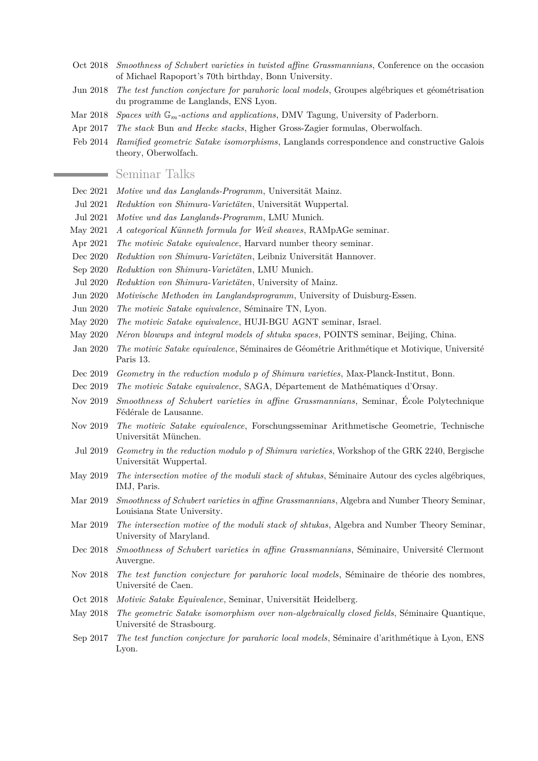- Oct 2018 *Smoothness of Schubert varieties in twisted affine Grassmannians*, Conference on the occasion of Michael Rapoport's 70th birthday, Bonn University.
- Jun 2018 *The test function conjecture for parahoric local models*, Groupes algébriques et géométrisation du programme de Langlands, ENS Lyon.
- Mar 2018 *Spaces with* G*m-actions and applications*, DMV Tagung, University of Paderborn.
- Apr 2017 *The stack* Bun *and Hecke stacks*, Higher Gross-Zagier formulas, Oberwolfach.
- Feb 2014 *Ramified geometric Satake isomorphisms*, Langlands correspondence and constructive Galois theory, Oberwolfach.

#### Seminar Talks

- Dec 2021 *Motive und das Langlands-Programm*, Universität Mainz.
- Jul 2021 *Reduktion von Shimura-Varietäten*, Universität Wuppertal.
- Jul 2021 *Motive und das Langlands-Programm*, LMU Munich.
- May 2021 *A categorical Künneth formula for Weil sheaves*, RAMpAGe seminar.
- Apr 2021 *The motivic Satake equivalence*, Harvard number theory seminar.
- Dec 2020 *Reduktion von Shimura-Varietäten*, Leibniz Universität Hannover.
- Sep 2020 *Reduktion von Shimura-Varietäten*, LMU Munich.
- Jul 2020 *Reduktion von Shimura-Varietäten*, University of Mainz.
- Jun 2020 *Motivische Methoden im Langlandsprogramm*, University of Duisburg-Essen.
- Jun 2020 *The motivic Satake equivalence*, Séminaire TN, Lyon.
- May 2020 *The motivic Satake equivalence*, HUJI-BGU AGNT seminar, Israel.
- May 2020 *Néron blowups and integral models of shtuka spaces*, POINTS seminar, Beijing, China.
- Jan 2020 *The motivic Satake equivalence*, Séminaires de Géométrie Arithmétique et Motivique, Université Paris 13.
- Dec 2019 *Geometry in the reduction modulo p of Shimura varieties*, Max-Planck-Institut, Bonn.
- Dec 2019 *The motivic Satake equivalence*, SAGA, Département de Mathématiques d'Orsay.
- Nov 2019 *Smoothness of Schubert varieties in affine Grassmannians*, Seminar, École Polytechnique Fédérale de Lausanne.
- Nov 2019 *The motivic Satake equivalence*, Forschungsseminar Arithmetische Geometrie, Technische Universität München.
- Jul 2019 *Geometry in the reduction modulo p of Shimura varieties*, Workshop of the GRK 2240, Bergische Universität Wuppertal.
- May 2019 *The intersection motive of the moduli stack of shtukas*, Séminaire Autour des cycles algébriques, IMJ, Paris.
- Mar 2019 *Smoothness of Schubert varieties in affine Grassmannians*, Algebra and Number Theory Seminar, Louisiana State University.
- Mar 2019 *The intersection motive of the moduli stack of shtukas*, Algebra and Number Theory Seminar, University of Maryland.
- Dec 2018 *Smoothness of Schubert varieties in affine Grassmannians*, Séminaire, Université Clermont Auvergne.
- Nov 2018 *The test function conjecture for parahoric local models*, Séminaire de théorie des nombres, Université de Caen.
- Oct 2018 *Motivic Satake Equivalence*, Seminar, Universität Heidelberg.
- May 2018 *The geometric Satake isomorphism over non-algebraically closed fields*, Séminaire Quantique, Université de Strasbourg.
- Sep 2017 *The test function conjecture for parahoric local models*, Séminaire d'arithmétique à Lyon, ENS Lyon.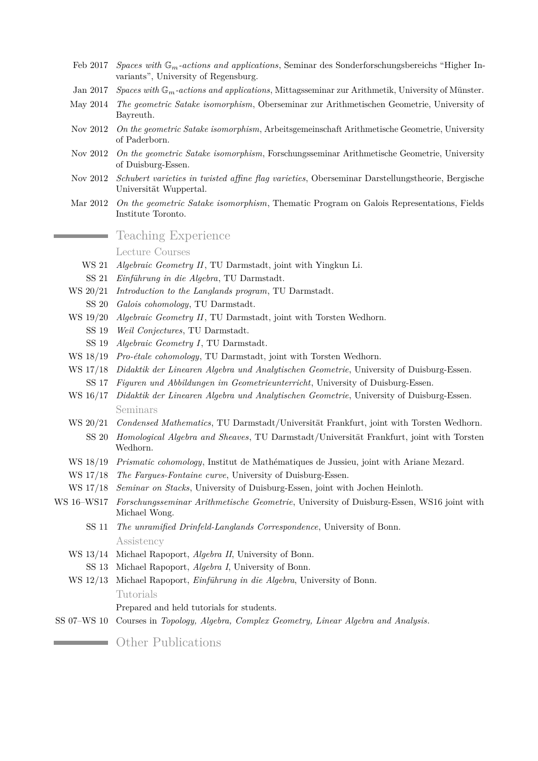- Feb 2017 *Spaces with* G*m-actions and applications*, Seminar des Sonderforschungsbereichs "Higher Invariants", University of Regensburg.
- Jan 2017 *Spaces with* G*m-actions and applications*, Mittagsseminar zur Arithmetik, University of Münster.
- May 2014 *The geometric Satake isomorphism*, Oberseminar zur Arithmetischen Geometrie, University of Bayreuth.
- Nov 2012 *On the geometric Satake isomorphism*, Arbeitsgemeinschaft Arithmetische Geometrie, University of Paderborn.
- Nov 2012 *On the geometric Satake isomorphism*, Forschungsseminar Arithmetische Geometrie, University of Duisburg-Essen.
- Nov 2012 *Schubert varieties in twisted affine flag varieties*, Oberseminar Darstellungstheorie, Bergische Universität Wuppertal.
- Mar 2012 *On the geometric Satake isomorphism*, Thematic Program on Galois Representations, Fields Institute Toronto.

# Teaching Experience

Lecture Courses

- WS 21 *Algebraic Geometry II*, TU Darmstadt, joint with Yingkun Li.
- SS 21 *Einführung in die Algebra*, TU Darmstadt.
- WS 20/21 *Introduction to the Langlands program*, TU Darmstadt.
- SS 20 *Galois cohomology*, TU Darmstadt.
- WS 19/20 *Algebraic Geometry II*, TU Darmstadt, joint with Torsten Wedhorn.
	- SS 19 *Weil Conjectures*, TU Darmstadt.
	- SS 19 *Algebraic Geometry I*, TU Darmstadt.
- WS 18/19 *Pro-étale cohomology*, TU Darmstadt, joint with Torsten Wedhorn.
- WS 17/18 *Didaktik der Linearen Algebra und Analytischen Geometrie*, University of Duisburg-Essen.
- SS 17 *Figuren und Abbildungen im Geometrieunterricht*, University of Duisburg-Essen.
- WS 16/17 *Didaktik der Linearen Algebra und Analytischen Geometrie*, University of Duisburg-Essen. Seminars
- WS 20/21 *Condensed Mathematics*, TU Darmstadt/Universität Frankfurt, joint with Torsten Wedhorn.
- SS 20 *Homological Algebra and Sheaves*, TU Darmstadt/Universität Frankfurt, joint with Torsten Wedhorn.
- WS 18/19 *Prismatic cohomology*, Institut de Mathématiques de Jussieu, joint with Ariane Mezard.
- WS 17/18 *The Fargues-Fontaine curve*, University of Duisburg-Essen.
- WS 17/18 *Seminar on Stacks*, University of Duisburg-Essen, joint with Jochen Heinloth.
- WS 16–WS17 *Forschungsseminar Arithmetische Geometrie*, University of Duisburg-Essen, WS16 joint with Michael Wong.
	- SS 11 *The unramified Drinfeld-Langlands Correspondence*, University of Bonn. Assistency
	- WS 13/14 Michael Rapoport, *Algebra II*, University of Bonn.
		- SS 13 Michael Rapoport, *Algebra I*, University of Bonn.
	- WS 12/13 Michael Rapoport, *Einführung in die Algebra*, University of Bonn. Tutorials

Prepared and held tutorials for students.

SS 07–WS 10 Courses in *Topology, Algebra, Complex Geometry, Linear Algebra and Analysis*.

**Communist Communist Communist Communist Communist Communist Communist Communist Communist Communist Communist Communist Communist Communist Communist Communist Communist Communist Communist Communist Communist Communist C**